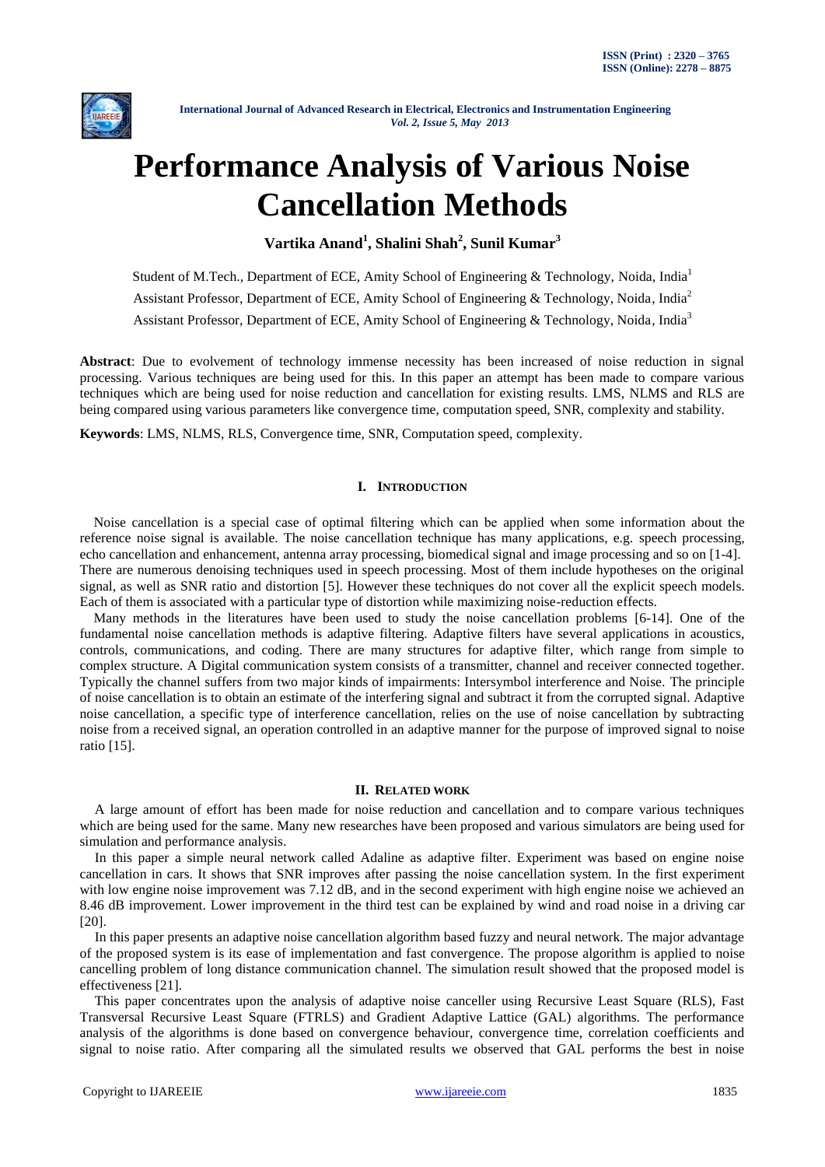

# **Performance Analysis of Various Noise Cancellation Methods**

**Vartika Anand<sup>1</sup> , Shalini Shah<sup>2</sup> , Sunil Kumar<sup>3</sup>**

Student of M.Tech., Department of ECE, Amity School of Engineering & Technology, Noida, India<sup>1</sup> Assistant Professor, Department of ECE, Amity School of Engineering & Technology, Noida, India<sup>2</sup> Assistant Professor, Department of ECE, Amity School of Engineering & Technology, Noida, India<sup>3</sup>

**Abstract**: Due to evolvement of technology immense necessity has been increased of noise reduction in signal processing. Various techniques are being used for this. In this paper an attempt has been made to compare various techniques which are being used for noise reduction and cancellation for existing results. LMS, NLMS and RLS are being compared using various parameters like convergence time, computation speed, SNR, complexity and stability.

**Keywords**: LMS, NLMS, RLS, Convergence time, SNR, Computation speed, complexity.

# **I. INTRODUCTION**

 Noise cancellation is a special case of optimal filtering which can be applied when some information about the reference noise signal is available. The noise cancellation technique has many applications, e.g. speech processing, echo cancellation and enhancement, antenna array processing, biomedical signal and image processing and so on [1-4]. There are numerous denoising techniques used in speech processing. Most of them include hypotheses on the original signal, as well as SNR ratio and distortion [5]. However these techniques do not cover all the explicit speech models. Each of them is associated with a particular type of distortion while maximizing noise-reduction effects.

 Many methods in the literatures have been used to study the noise cancellation problems [6-14]. One of the fundamental noise cancellation methods is adaptive filtering. Adaptive filters have several applications in acoustics, controls, communications, and coding. There are many structures for adaptive filter, which range from simple to complex structure. A Digital communication system consists of a transmitter, channel and receiver connected together. Typically the channel suffers from two major kinds of impairments: Intersymbol interference and Noise. The principle of noise cancellation is to obtain an estimate of the interfering signal and subtract it from the corrupted signal. Adaptive noise cancellation, a specific type of interference cancellation, relies on the use of noise cancellation by subtracting noise from a received signal, an operation controlled in an adaptive manner for the purpose of improved signal to noise ratio [15].

#### **II. RELATED WORK**

A large amount of effort has been made for noise reduction and cancellation and to compare various techniques which are being used for the same. Many new researches have been proposed and various simulators are being used for simulation and performance analysis.

In this paper a simple neural network called Adaline as adaptive filter. Experiment was based on engine noise cancellation in cars. It shows that SNR improves after passing the noise cancellation system. In the first experiment with low engine noise improvement was 7.12 dB, and in the second experiment with high engine noise we achieved an 8.46 dB improvement. Lower improvement in the third test can be explained by wind and road noise in a driving car [20].

In this paper presents an adaptive noise cancellation algorithm based fuzzy and neural network. The major advantage of the proposed system is its ease of implementation and fast convergence. The propose algorithm is applied to noise cancelling problem of long distance communication channel. The simulation result showed that the proposed model is effectiveness [21].

This paper concentrates upon the analysis of adaptive noise canceller using Recursive Least Square (RLS), Fast Transversal Recursive Least Square (FTRLS) and Gradient Adaptive Lattice (GAL) algorithms. The performance analysis of the algorithms is done based on convergence behaviour, convergence time, correlation coefficients and signal to noise ratio. After comparing all the simulated results we observed that GAL performs the best in noise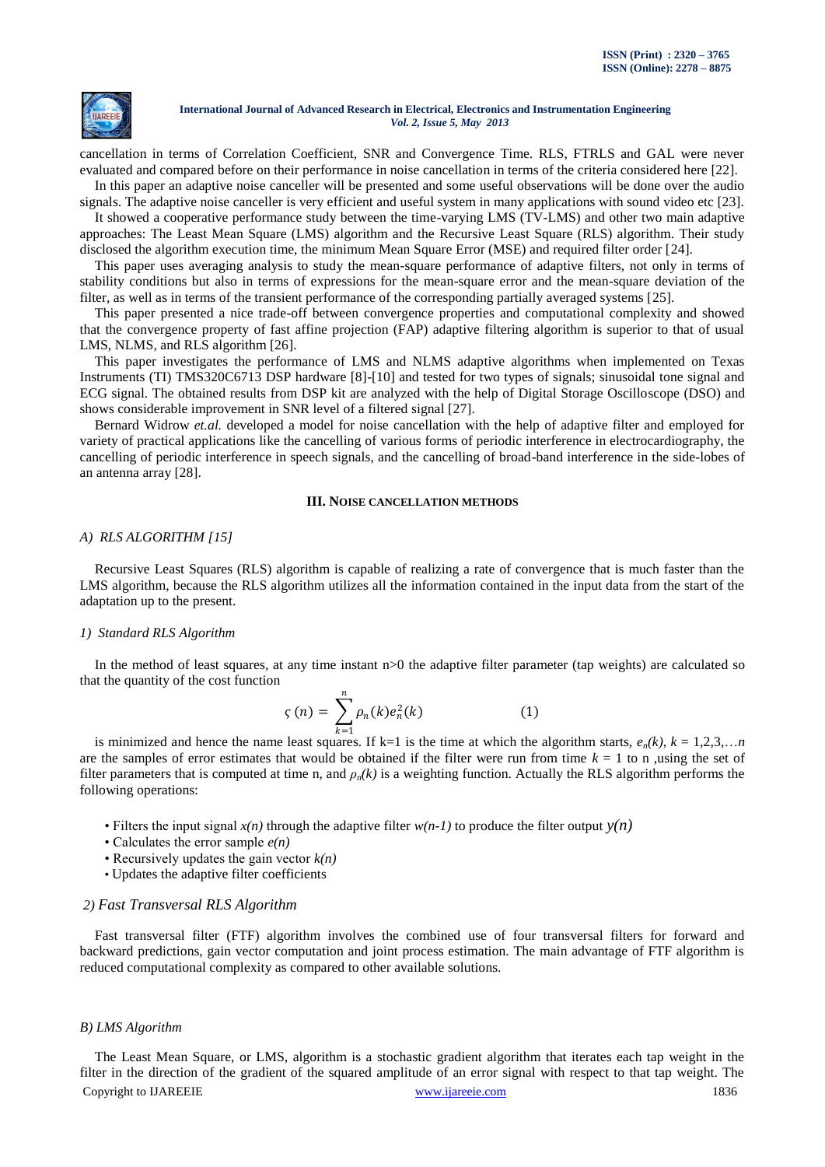

cancellation in terms of Correlation Coefficient, SNR and Convergence Time. RLS, FTRLS and GAL were never evaluated and compared before on their performance in noise cancellation in terms of the criteria considered here [22].

In this paper an adaptive noise canceller will be presented and some useful observations will be done over the audio signals. The adaptive noise canceller is very efficient and useful system in many applications with sound video etc [23].

It showed a cooperative performance study between the time-varying LMS (TV-LMS) and other two main adaptive approaches: The Least Mean Square (LMS) algorithm and the Recursive Least Square (RLS) algorithm. Their study disclosed the algorithm execution time, the minimum Mean Square Error (MSE) and required filter order [24].

This paper uses averaging analysis to study the mean-square performance of adaptive filters, not only in terms of stability conditions but also in terms of expressions for the mean-square error and the mean-square deviation of the filter, as well as in terms of the transient performance of the corresponding partially averaged systems [25].

This paper presented a nice trade-off between convergence properties and computational complexity and showed that the convergence property of fast affine projection (FAP) adaptive filtering algorithm is superior to that of usual LMS, NLMS, and RLS algorithm [26].

This paper investigates the performance of LMS and NLMS adaptive algorithms when implemented on Texas Instruments (TI) TMS320C6713 DSP hardware [8]-[10] and tested for two types of signals; sinusoidal tone signal and ECG signal. The obtained results from DSP kit are analyzed with the help of Digital Storage Oscilloscope (DSO) and shows considerable improvement in SNR level of a filtered signal [27].

Bernard Widrow *et.al.* developed a model for noise cancellation with the help of adaptive filter and employed for variety of practical applications like the cancelling of various forms of periodic interference in electrocardiography, the cancelling of periodic interference in speech signals, and the cancelling of broad-band interference in the side-lobes of an antenna array [28].

## **III. NOISE CANCELLATION METHODS**

# *A) RLS ALGORITHM [15]*

Recursive Least Squares (RLS) algorithm is capable of realizing a rate of convergence that is much faster than the LMS algorithm, because the RLS algorithm utilizes all the information contained in the input data from the start of the adaptation up to the present.

## *1) Standard RLS Algorithm*

In the method of least squares, at any time instant  $n>0$  the adaptive filter parameter (tap weights) are calculated so that the quantity of the cost function

$$
\varsigma(n) = \sum_{k=1}^{n} \rho_n(k) e_n^2(k)
$$
 (1)

is minimized and hence the name least squares. If  $k=1$  is the time at which the algorithm starts,  $e_n(k)$ ,  $k = 1,2,3,...,n$ are the samples of error estimates that would be obtained if the filter were run from time  $k = 1$  to n ,using the set of filter parameters that is computed at time n, and  $\rho_n(k)$  is a weighting function. Actually the RLS algorithm performs the following operations:

- Filters the input signal  $x(n)$  through the adaptive filter  $w(n-1)$  to produce the filter output  $v(n)$
- Calculates the error sample *e(n)*
- Recursively updates the gain vector *k(n)*
- Updates the adaptive filter coefficients

## *2) Fast Transversal RLS Algorithm*

Fast transversal filter (FTF) algorithm involves the combined use of four transversal filters for forward and backward predictions, gain vector computation and joint process estimation. The main advantage of FTF algorithm is reduced computational complexity as compared to other available solutions.

### *B) LMS Algorithm*

Copyright to IJAREEIE [www.ijareeie.com](http://www.ijareeie.com/) 1836 The Least Mean Square, or LMS, algorithm is a stochastic gradient algorithm that iterates each tap weight in the filter in the direction of the gradient of the squared amplitude of an error signal with respect to that tap weight. The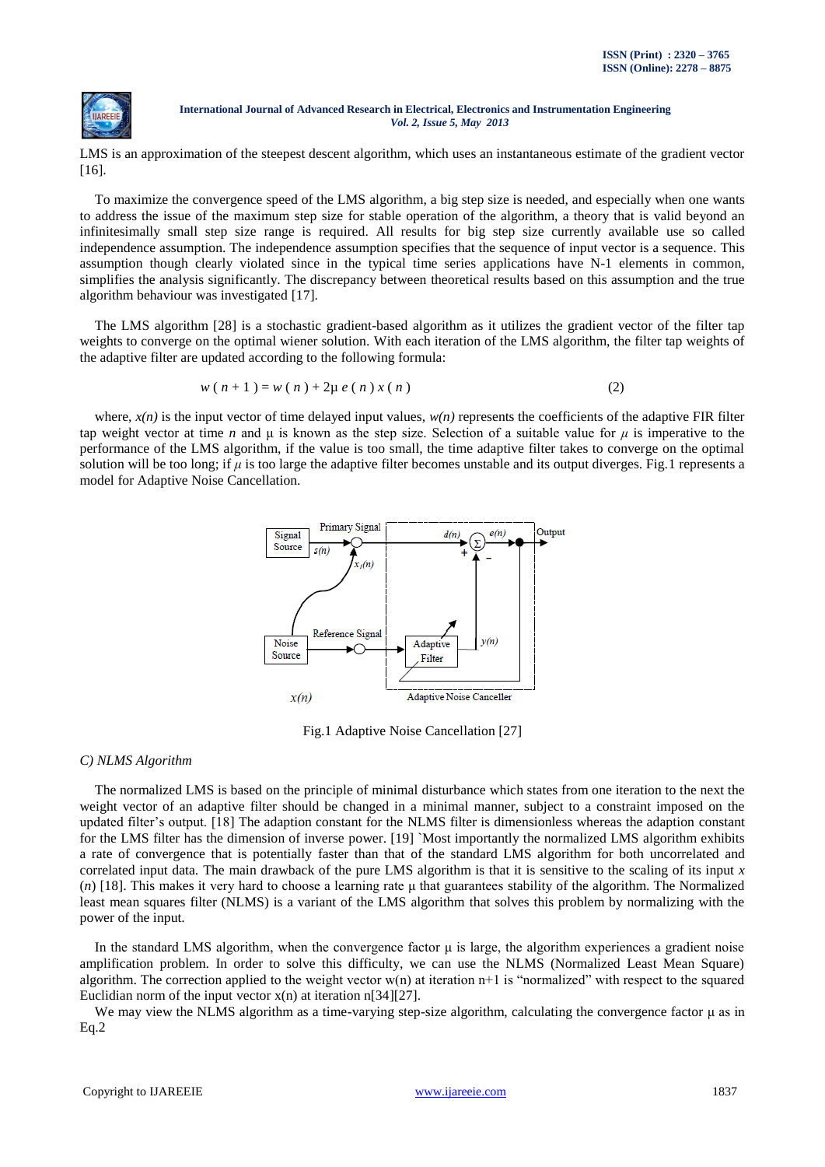

LMS is an approximation of the steepest descent algorithm, which uses an instantaneous estimate of the gradient vector [16].

To maximize the convergence speed of the LMS algorithm, a big step size is needed, and especially when one wants to address the issue of the maximum step size for stable operation of the algorithm, a theory that is valid beyond an infinitesimally small step size range is required. All results for big step size currently available use so called independence assumption. The independence assumption specifies that the sequence of input vector is a sequence. This assumption though clearly violated since in the typical time series applications have N-1 elements in common, simplifies the analysis significantly. The discrepancy between theoretical results based on this assumption and the true algorithm behaviour was investigated [17].

The LMS algorithm [28] is a stochastic gradient-based algorithm as it utilizes the gradient vector of the filter tap weights to converge on the optimal wiener solution. With each iteration of the LMS algorithm, the filter tap weights of the adaptive filter are updated according to the following formula:

$$
w(n + 1) = w(n) + 2\mu e(n)x(n)
$$
 (2)

where,  $x(n)$  is the input vector of time delayed input values,  $w(n)$  represents the coefficients of the adaptive FIR filter tap weight vector at time *n* and μ is known as the step size. Selection of a suitable value for *μ* is imperative to the performance of the LMS algorithm, if the value is too small, the time adaptive filter takes to converge on the optimal solution will be too long; if *μ* is too large the adaptive filter becomes unstable and its output diverges. Fig.1 represents a model for Adaptive Noise Cancellation.



Fig.1 Adaptive Noise Cancellation [27]

# *C) NLMS Algorithm*

The normalized LMS is based on the principle of minimal disturbance which states from one iteration to the next the weight vector of an adaptive filter should be changed in a minimal manner, subject to a constraint imposed on the updated filter"s output. [18] The adaption constant for the NLMS filter is dimensionless whereas the adaption constant for the LMS filter has the dimension of inverse power. [19] `Most importantly the normalized LMS algorithm exhibits a rate of convergence that is potentially faster than that of the standard LMS algorithm for both uncorrelated and correlated input data. The main drawback of the pure LMS algorithm is that it is sensitive to the scaling of its input *x* (*n*) [18]. This makes it very hard to choose a learning rate μ that guarantees stability of the algorithm. The Normalized least mean squares filter (NLMS) is a variant of the LMS algorithm that solves this problem by normalizing with the power of the input.

In the standard LMS algorithm, when the convergence factor μ is large, the algorithm experiences a gradient noise amplification problem. In order to solve this difficulty, we can use the NLMS (Normalized Least Mean Square) algorithm. The correction applied to the weight vector  $w(n)$  at iteration  $n+1$  is "normalized" with respect to the squared Euclidian norm of the input vector  $x(n)$  at iteration n[34][27].

We may view the NLMS algorithm as a time-varying step-size algorithm, calculating the convergence factor μ as in Eq.2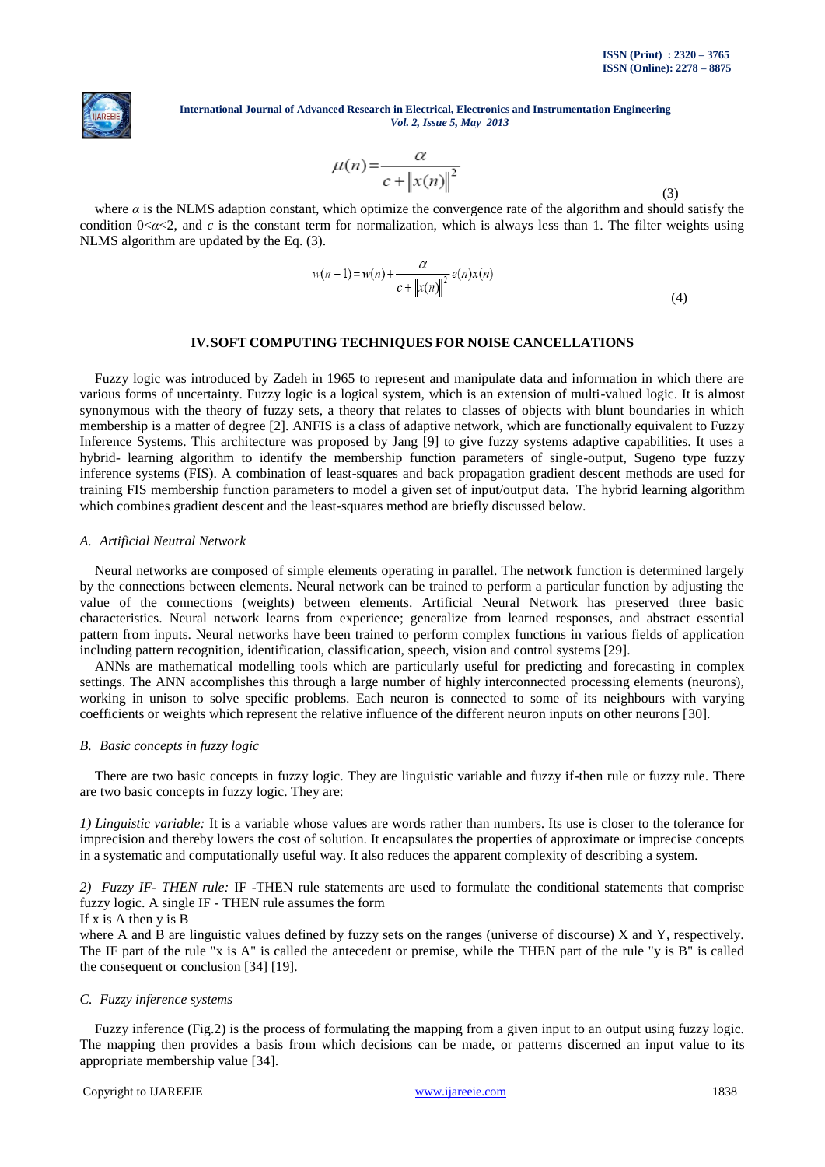

$$
\mu(n) = \frac{\alpha}{c + \|x(n)\|^2}
$$
\n(3)

where  $\alpha$  is the NLMS adaption constant, which optimize the convergence rate of the algorithm and should satisfy the condition  $0 < \alpha < 2$ , and *c* is the constant term for normalization, which is always less than 1. The filter weights using NLMS algorithm are updated by the Eq.  $(3)$ .

$$
w(n+1) = w(n) + \frac{\alpha}{c + ||x(n)||^2} e(n)x(n)
$$
\n(4)

# **IV.SOFT COMPUTING TECHNIQUES FOR NOISE CANCELLATIONS**

Fuzzy logic was introduced by Zadeh in 1965 to represent and manipulate data and information in which there are various forms of uncertainty. Fuzzy logic is a logical system, which is an extension of multi-valued logic. It is almost synonymous with the theory of fuzzy sets, a theory that relates to classes of objects with blunt boundaries in which membership is a matter of degree [2]. ANFIS is a class of adaptive network, which are functionally equivalent to Fuzzy Inference Systems. This architecture was proposed by Jang [9] to give fuzzy systems adaptive capabilities. It uses a hybrid- learning algorithm to identify the membership function parameters of single-output, Sugeno type fuzzy inference systems (FIS). A combination of least-squares and back propagation gradient descent methods are used for training FIS membership function parameters to model a given set of input/output data. The hybrid learning algorithm which combines gradient descent and the least-squares method are briefly discussed below.

## *A. Artificial Neutral Network*

Neural networks are composed of simple elements operating in parallel. The network function is determined largely by the connections between elements. Neural network can be trained to perform a particular function by adjusting the value of the connections (weights) between elements. Artificial Neural Network has preserved three basic characteristics. Neural network learns from experience; generalize from learned responses, and abstract essential pattern from inputs. Neural networks have been trained to perform complex functions in various fields of application including pattern recognition, identification, classification, speech, vision and control systems [29].

ANNs are mathematical modelling tools which are particularly useful for predicting and forecasting in complex settings. The ANN accomplishes this through a large number of highly interconnected processing elements (neurons), working in unison to solve specific problems. Each neuron is connected to some of its neighbours with varying coefficients or weights which represent the relative influence of the different neuron inputs on other neurons [30].

## *B. Basic concepts in fuzzy logic*

There are two basic concepts in fuzzy logic. They are linguistic variable and fuzzy if-then rule or fuzzy rule. There are two basic concepts in fuzzy logic. They are:

*1) Linguistic variable:* It is a variable whose values are words rather than numbers. Its use is closer to the tolerance for imprecision and thereby lowers the cost of solution. It encapsulates the properties of approximate or imprecise concepts in a systematic and computationally useful way. It also reduces the apparent complexity of describing a system.

*2) Fuzzy IF- THEN rule:* IF -THEN rule statements are used to formulate the conditional statements that comprise fuzzy logic. A single IF - THEN rule assumes the form

## If  $x$  is A then  $v$  is B

where A and B are linguistic values defined by fuzzy sets on the ranges (universe of discourse) X and Y, respectively. The IF part of the rule "x is A" is called the antecedent or premise, while the THEN part of the rule "y is B" is called the consequent or conclusion [34] [19].

## *C. Fuzzy inference systems*

Fuzzy inference (Fig.2) is the process of formulating the mapping from a given input to an output using fuzzy logic. The mapping then provides a basis from which decisions can be made, or patterns discerned an input value to its appropriate membership value [34].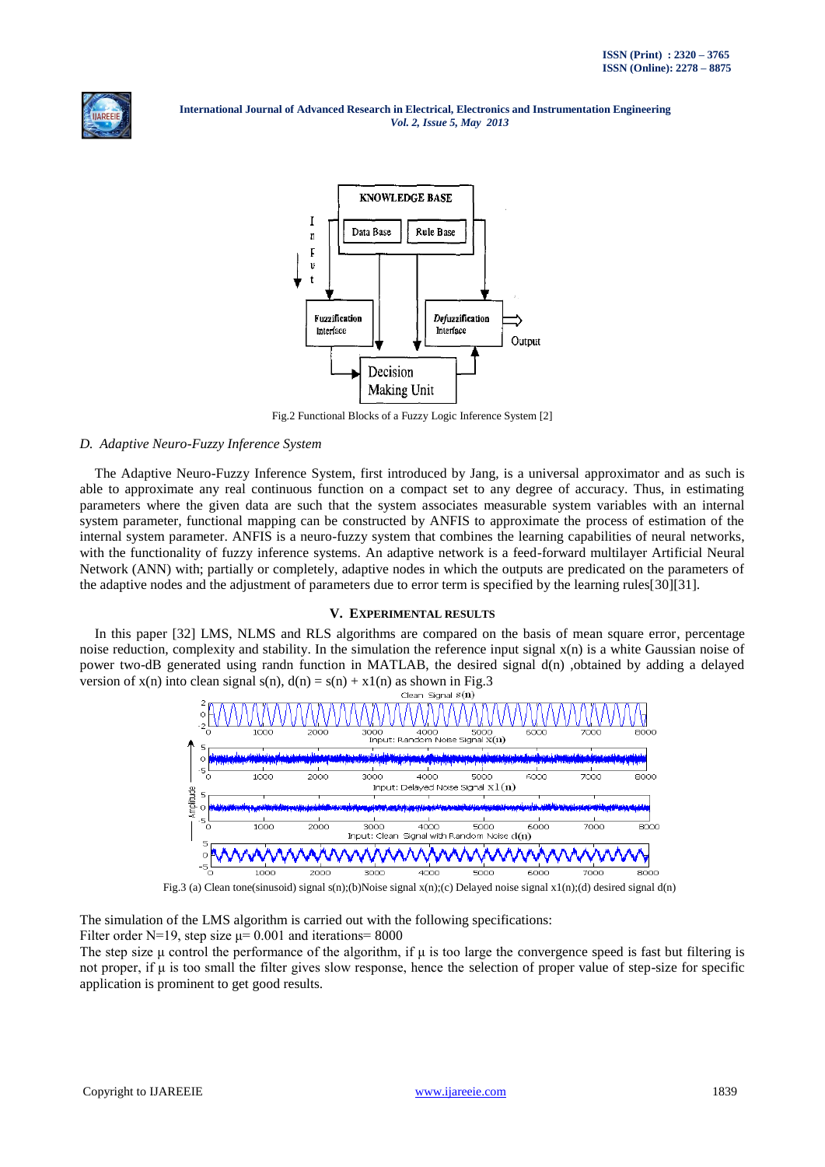



Fig.2 Functional Blocks of a Fuzzy Logic Inference System [2]

# *D. Adaptive Neuro-Fuzzy Inference System*

The Adaptive Neuro-Fuzzy Inference System, first introduced by Jang, is a universal approximator and as such is able to approximate any real continuous function on a compact set to any degree of accuracy. Thus, in estimating parameters where the given data are such that the system associates measurable system variables with an internal system parameter, functional mapping can be constructed by ANFIS to approximate the process of estimation of the internal system parameter. ANFIS is a neuro-fuzzy system that combines the learning capabilities of neural networks, with the functionality of fuzzy inference systems. An adaptive network is a feed-forward multilayer Artificial Neural Network (ANN) with; partially or completely, adaptive nodes in which the outputs are predicated on the parameters of the adaptive nodes and the adjustment of parameters due to error term is specified by the learning rules[30][31].

# **V. EXPERIMENTAL RESULTS**

In this paper [32] LMS, NLMS and RLS algorithms are compared on the basis of mean square error, percentage noise reduction, complexity and stability. In the simulation the reference input signal x(n) is a white Gaussian noise of power two-dB generated using randn function in MATLAB, the desired signal d(n) ,obtained by adding a delayed version of  $x(n)$  into clean signal  $s(n)$ ,  $d(n) = s(n) + x1(n)$  as shown in Fig.3



Fig.3 (a) Clean tone(sinusoid) signal s(n);(b)Noise signal x(n);(c) Delayed noise signal x1(n);(d) desired signal d(n)

The simulation of the LMS algorithm is carried out with the following specifications:

Filter order N=19, step size  $\mu$ = 0.001 and iterations= 8000

The step size  $\mu$  control the performance of the algorithm, if  $\mu$  is too large the convergence speed is fast but filtering is not proper, if μ is too small the filter gives slow response, hence the selection of proper value of step-size for specific application is prominent to get good results.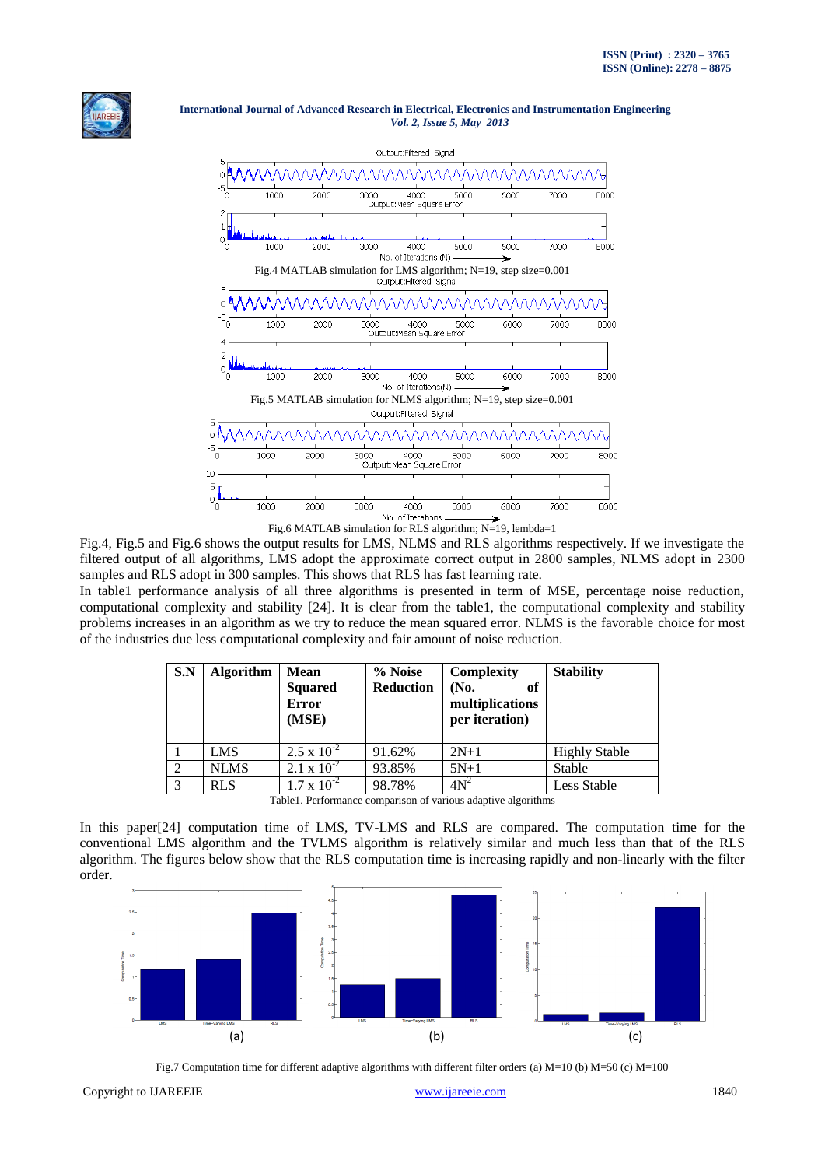



Fig.4, Fig.5 and Fig.6 shows the output results for LMS, NLMS and RLS algorithms respectively. If we investigate the filtered output of all algorithms, LMS adopt the approximate correct output in 2800 samples, NLMS adopt in 2300 samples and RLS adopt in 300 samples. This shows that RLS has fast learning rate.

In table1 performance analysis of all three algorithms is presented in term of MSE, percentage noise reduction, computational complexity and stability [24]. It is clear from the table1, the computational complexity and stability problems increases in an algorithm as we try to reduce the mean squared error. NLMS is the favorable choice for most of the industries due less computational complexity and fair amount of noise reduction.

| S.N           | <b>Algorithm</b>     | <b>Mean</b><br><b>Squared</b><br><b>Error</b><br>(MSE) | % Noise<br><b>Reduction</b> | <b>Complexity</b><br>(No.<br>of<br>multiplications<br>per iteration) | <b>Stability</b>     |  |  |
|---------------|----------------------|--------------------------------------------------------|-----------------------------|----------------------------------------------------------------------|----------------------|--|--|
|               | <b>LMS</b>           | $2.5 \times 10^{-2}$                                   | 91.62%                      | $2N+1$                                                               | <b>Highly Stable</b> |  |  |
|               | <b>NLMS</b>          | $2.1 \times 10^{-2}$                                   | 93.85%                      | $5N+1$                                                               | Stable               |  |  |
| $\mathcal{R}$ | <b>RLS</b>           | $1.7 \times 10^{-2}$                                   | 98.78%                      | $4N^2$                                                               | Less Stable          |  |  |
|               | <b>THIRD CONTROL</b> |                                                        |                             |                                                                      |                      |  |  |

| Table1. Performance comparison of various adaptive algorithms |  |  |
|---------------------------------------------------------------|--|--|
|---------------------------------------------------------------|--|--|

In this paper[24] computation time of LMS, TV-LMS and RLS are compared. The computation time for the conventional LMS algorithm and the TVLMS algorithm is relatively similar and much less than that of the RLS algorithm. The figures below show that the RLS computation time is increasing rapidly and non-linearly with the filter order.



Fig.7 Computation time for different adaptive algorithms with different filter orders (a) M=10 (b) M=50 (c) M=100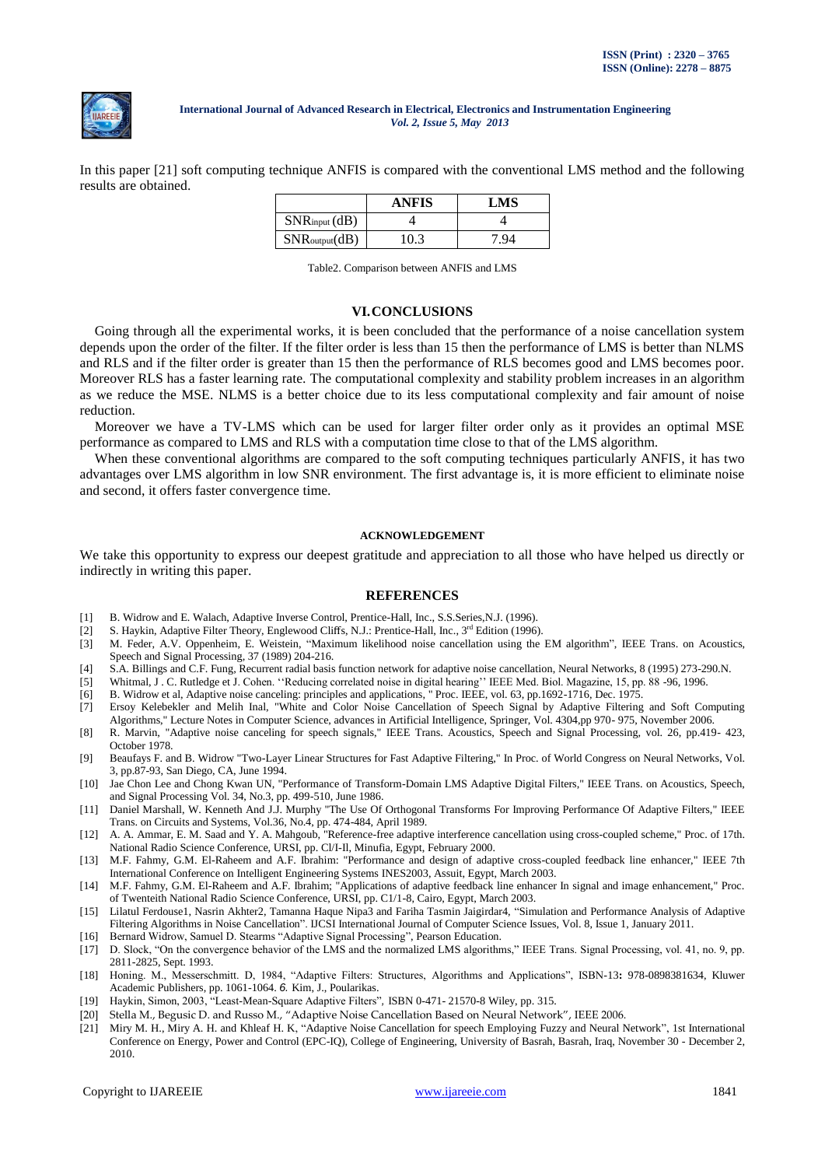

In this paper [21] soft computing technique ANFIS is compared with the conventional LMS method and the following results are obtained.

|                           | <b>ANFIS</b> | LMS |
|---------------------------|--------------|-----|
| $SNR$ input $(dB)$        |              |     |
| $SNR_{\text{output}}(dB)$ | 0.3          |     |

Table2. Comparison between ANFIS and LMS

## **VI.CONCLUSIONS**

Going through all the experimental works, it is been concluded that the performance of a noise cancellation system depends upon the order of the filter. If the filter order is less than 15 then the performance of LMS is better than NLMS and RLS and if the filter order is greater than 15 then the performance of RLS becomes good and LMS becomes poor. Moreover RLS has a faster learning rate. The computational complexity and stability problem increases in an algorithm as we reduce the MSE. NLMS is a better choice due to its less computational complexity and fair amount of noise reduction.

Moreover we have a TV-LMS which can be used for larger filter order only as it provides an optimal MSE performance as compared to LMS and RLS with a computation time close to that of the LMS algorithm.

When these conventional algorithms are compared to the soft computing techniques particularly ANFIS, it has two advantages over LMS algorithm in low SNR environment. The first advantage is, it is more efficient to eliminate noise and second, it offers faster convergence time.

#### **ACKNOWLEDGEMENT**

We take this opportunity to express our deepest gratitude and appreciation to all those who have helped us directly or indirectly in writing this paper.

#### **REFERENCES**

- [1] B. Widrow and E. Walach, Adaptive Inverse Control, Prentice-Hall, Inc., S.S.Series,N.J. (1996).
- [2] S. Haykin, Adaptive Filter Theory, Englewood Cliffs, N.J.: Prentice-Hall, Inc., 3<sup>rd</sup> Edition (1996).
- [3] M. Feder, A.V. Oppenheim, E. Weistein, "Maximum likelihood noise cancellation using the EM algorithm", IEEE Trans. on Acoustics, Speech and Signal Processing, 37 (1989) 204-216.
- [4] S.A. Billings and C.F. Fung, Recurrent radial basis function network for adaptive noise cancellation, Neural Networks, 8 (1995) 273-290.N.
- [5] Whitmal, J . C. Rutledge et J. Cohen. ""Reducing correlated noise in digital hearing"" IEEE Med. Biol. Magazine, 15, pp. 88 -96, 1996.
- [6] B. Widrow et al, Adaptive noise canceling: principles and applications, " Proc. IEEE, vol. 63, pp.1692-1716, Dec. 1975.
- [7] Ersoy Kelebekler and Melih Inal, "White and Color Noise Cancellation of Speech Signal by Adaptive Filtering and Soft Computing Algorithms," Lecture Notes in Computer Science, advances in Artificial Intelligence, Springer, Vol. 4304,pp 970- 975, November 2006.
- [8] R. Marvin, "Adaptive noise canceling for speech signals," IEEE Trans. Acoustics, Speech and Signal Processing, vol. 26, pp.419- 423, October 1978.
- [9] Beaufays F. and B. Widrow "Two-Layer Linear Structures for Fast Adaptive Filtering," In Proc. of World Congress on Neural Networks, Vol. 3, pp.87-93, San Diego, CA, June 1994.
- [10] Jae Chon Lee and Chong Kwan UN, "Performance of Transform-Domain LMS Adaptive Digital Filters," IEEE Trans. on Acoustics, Speech, and Signal Processing Vol. 34, No.3, pp. 499-510, June 1986.
- [11] Daniel Marshall, W. Kenneth And J.J. Murphy "The Use Of Orthogonal Transforms For Improving Performance Of Adaptive Filters," IEEE Trans. on Circuits and Systems, Vol.36, No.4, pp. 474-484, April 1989.
- [12] A. A. Ammar, E. M. Saad and Y. A. Mahgoub, "Reference-free adaptive interference cancellation using cross-coupled scheme," Proc. of 17th. National Radio Science Conference, URSI, pp. Cl/I-Il, Minufia, Egypt, February 2000.
- [13] M.F. Fahmy, G.M. El-Raheem and A.F. Ibrahim: "Performance and design of adaptive cross-coupled feedback line enhancer," IEEE 7th International Conference on Intelligent Engineering Systems INES2003, Assuit, Egypt, March 2003.
- [14] M.F. Fahmy, G.M. El-Raheem and A.F. Ibrahim; "Applications of adaptive feedback line enhancer In signal and image enhancement," Proc. of Twenteith National Radio Science Conference, URSI, pp. C1/1-8, Cairo, Egypt, March 2003.
- [15] Lilatul Ferdouse1, Nasrin Akhter2, Tamanna Haque Nipa3 and Fariha Tasmin Jaigirdar4, "Simulation and Performance Analysis of Adaptive Filtering Algorithms in Noise Cancellation". IJCSI International Journal of Computer Science Issues, Vol. 8, Issue 1, January 2011.
- [16] Bernard Widrow, Samuel D. Stearms "Adaptive Signal Processing", Pearson Education.
- $\overline{117}$  D. Slock, "On the convergence behavior of the LMS and the normalized LMS algorithms," IEEE Trans. Signal Processing, vol. 41, no. 9, pp. 2811-2825, Sept. 1993.
- [18] Honing. M., Messerschmitt. D, 1984, "Adaptive Filters: Structures, Algorithms and Applications", ISBN-13**:** 978-0898381634, Kluwer Academic Publishers, pp. 1061-1064. *6.* Kim, J., Poularikas.
- [19] Haykin, Simon, 2003, "Least-Mean-Square Adaptive Filters"*,* ISBN 0-471- 21570-8 Wiley, pp. 315.
- [20] Stella M., Begusic D. and Russo M., "Adaptive Noise Cancellation Based on Neural Network", IEEE 2006.<br>[21] Miry M. H., Miry A. H. and Khleaf H. K, "Adaptive Noise Cancellation for speech Employing Fuzzy and Neural N
- [21] Miry M. H., Miry A. H. and Khleaf H. K, "Adaptive Noise Cancellation for speech Employing Fuzzy and Neural Network", 1st International Conference on Energy, Power and Control (EPC-IQ), College of Engineering, University of Basrah, Basrah, Iraq, November 30 - December 2, 2010.